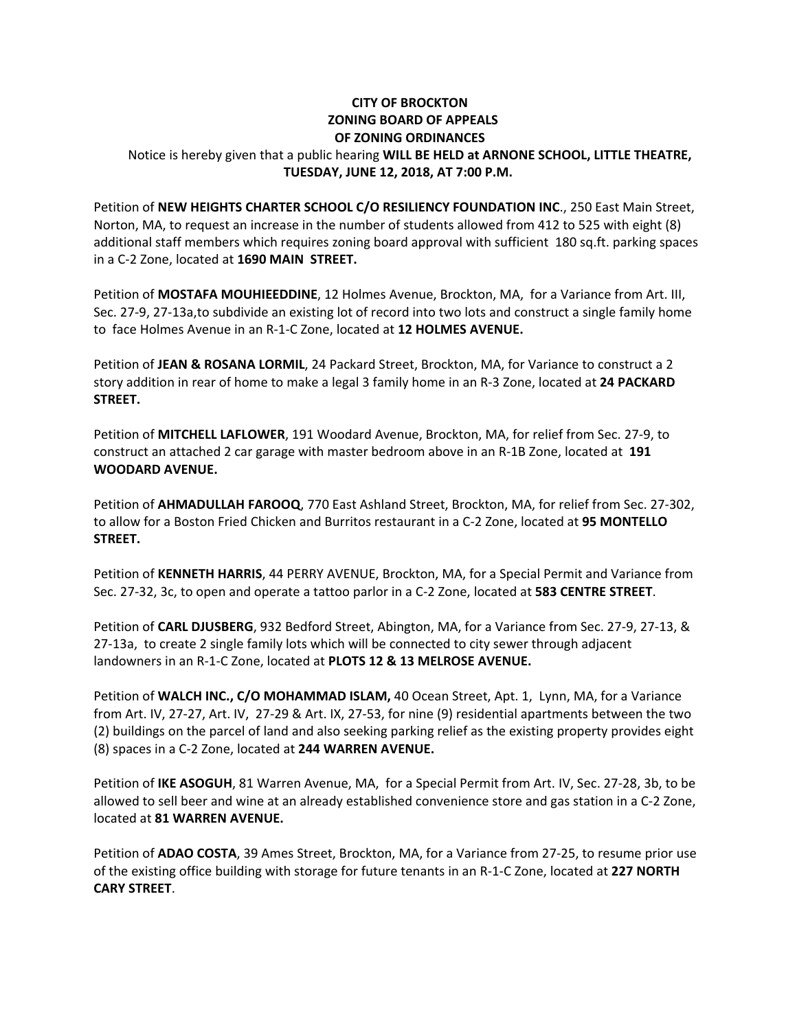## **CITY OF BROCKTON ZONING BOARD OF APPEALS OF ZONING ORDINANCES**  Notice is hereby given that a public hearing **WILL BE HELD at ARNONE SCHOOL, LITTLE THEATRE, TUESDAY, JUNE 12, 2018, AT 7:00 P.M.**

Petition of **NEW HEIGHTS CHARTER SCHOOL C/O RESILIENCY FOUNDATION INC**., 250 East Main Street, Norton, MA, to request an increase in the number of students allowed from 412 to 525 with eight (8) additional staff members which requires zoning board approval with sufficient 180 sq.ft. parking spaces in a C‐2 Zone, located at **1690 MAIN STREET.**

Petition of **MOSTAFA MOUHIEEDDINE**, 12 Holmes Avenue, Brockton, MA, for a Variance from Art. III, Sec. 27‐9, 27‐13a,to subdivide an existing lot of record into two lots and construct a single family home to face Holmes Avenue in an R‐1‐C Zone, located at **12 HOLMES AVENUE.** 

Petition of **JEAN & ROSANA LORMIL**, 24 Packard Street, Brockton, MA, for Variance to construct a 2 story addition in rear of home to make a legal 3 family home in an R‐3 Zone, located at **24 PACKARD STREET.** 

Petition of **MITCHELL LAFLOWER**, 191 Woodard Avenue, Brockton, MA, for relief from Sec. 27‐9, to construct an attached 2 car garage with master bedroom above in an R‐1B Zone, located at **191 WOODARD AVENUE.** 

Petition of **AHMADULLAH FAROOQ**, 770 East Ashland Street, Brockton, MA, for relief from Sec. 27‐302, to allow for a Boston Fried Chicken and Burritos restaurant in a C‐2 Zone, located at **95 MONTELLO STREET.** 

Petition of **KENNETH HARRIS**, 44 PERRY AVENUE, Brockton, MA, for a Special Permit and Variance from Sec. 27‐32, 3c, to open and operate a tattoo parlor in a C‐2 Zone, located at **583 CENTRE STREET**. 

Petition of **CARL DJUSBERG**, 932 Bedford Street, Abington, MA, for a Variance from Sec. 27‐9, 27‐13, & 27‐13a, to create 2 single family lots which will be connected to city sewer through adjacent landowners in an R‐1‐C Zone, located at **PLOTS 12 & 13 MELROSE AVENUE.**

Petition of **WALCH INC., C/O MOHAMMAD ISLAM,** 40 Ocean Street, Apt. 1, Lynn, MA, for a Variance from Art. IV, 27‐27, Art. IV, 27‐29 & Art. IX, 27‐53, for nine (9) residential apartments between the two (2) buildings on the parcel of land and also seeking parking relief as the existing property provides eight (8) spaces in a C‐2 Zone, located at **244 WARREN AVENUE.** 

Petition of **IKE ASOGUH**, 81 Warren Avenue, MA, for a Special Permit from Art. IV, Sec. 27‐28, 3b, to be allowed to sell beer and wine at an already established convenience store and gas station in a C‐2 Zone, located at **81 WARREN AVENUE.**

Petition of **ADAO COSTA**, 39 Ames Street, Brockton, MA, for a Variance from 27‐25, to resume prior use of the existing office building with storage for future tenants in an R‐1‐C Zone, located at **227 NORTH CARY STREET**.